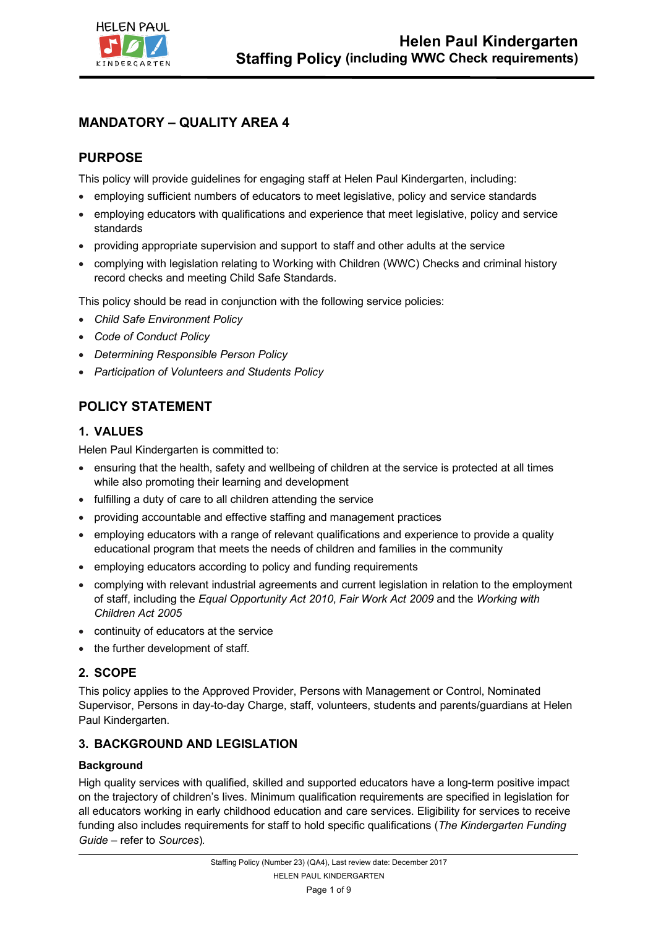

# **MANDATORY – QUALITY AREA 4**

# **PURPOSE**

This policy will provide guidelines for engaging staff at Helen Paul Kindergarten, including:

- employing sufficient numbers of educators to meet legislative, policy and service standards
- employing educators with qualifications and experience that meet legislative, policy and service standards
- providing appropriate supervision and support to staff and other adults at the service
- complying with legislation relating to Working with Children (WWC) Checks and criminal history record checks and meeting Child Safe Standards.

This policy should be read in conjunction with the following service policies:

- *Child Safe Environment Policy*
- *Code of Conduct Policy*
- *Determining Responsible Person Policy*
- *Participation of Volunteers and Students Policy*

# **POLICY STATEMENT**

## **1. VALUES**

Helen Paul Kindergarten is committed to:

- ensuring that the health, safety and wellbeing of children at the service is protected at all times while also promoting their learning and development
- fulfilling a duty of care to all children attending the service
- providing accountable and effective staffing and management practices
- employing educators with a range of relevant qualifications and experience to provide a quality educational program that meets the needs of children and families in the community
- employing educators according to policy and funding requirements
- complying with relevant industrial agreements and current legislation in relation to the employment of staff, including the *Equal Opportunity Act 2010*, *Fair Work Act 2009* and the *Working with Children Act 2005*
- continuity of educators at the service
- the further development of staff*.*

## **2. SCOPE**

This policy applies to the Approved Provider, Persons with Management or Control, Nominated Supervisor, Persons in day-to-day Charge, staff, volunteers, students and parents/guardians at Helen Paul Kindergarten.

## **3. BACKGROUND AND LEGISLATION**

### **Background**

High quality services with qualified, skilled and supported educators have a long-term positive impact on the trajectory of children's lives. Minimum qualification requirements are specified in legislation for all educators working in early childhood education and care services. Eligibility for services to receive funding also includes requirements for staff to hold specific qualifications (*The Kindergarten Funding Guide –* refer to *Sources*)*.*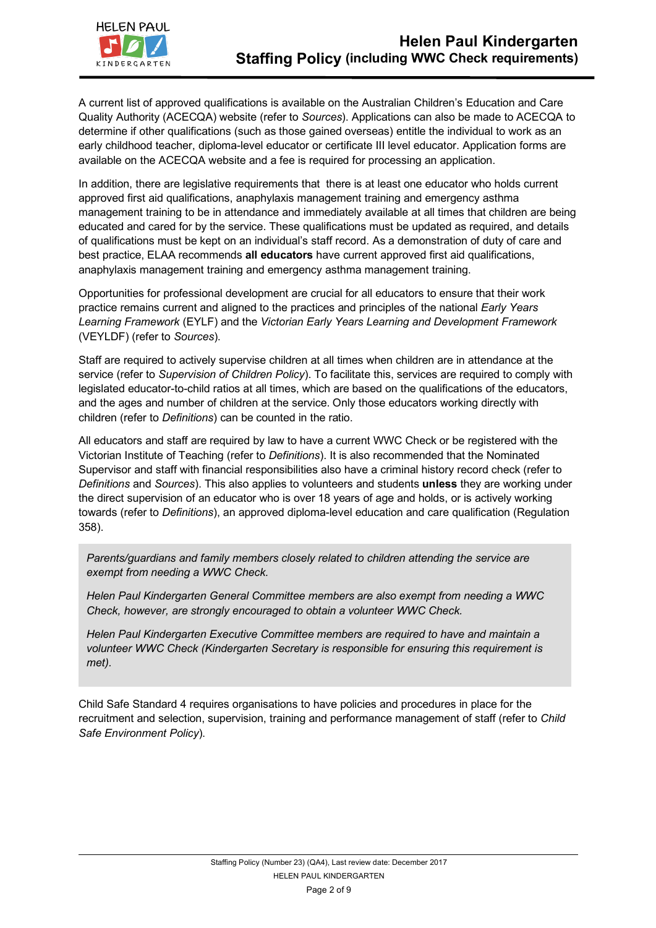

A current list of approved qualifications is available on the Australian Children's Education and Care Quality Authority (ACECQA) website (refer to *Sources*). Applications can also be made to ACECQA to determine if other qualifications (such as those gained overseas) entitle the individual to work as an early childhood teacher, diploma-level educator or certificate III level educator. Application forms are available on the ACECQA website and a fee is required for processing an application.

In addition, there are legislative requirements that there is at least one educator who holds current approved first aid qualifications, anaphylaxis management training and emergency asthma management training to be in attendance and immediately available at all times that children are being educated and cared for by the service. These qualifications must be updated as required, and details of qualifications must be kept on an individual's staff record. As a demonstration of duty of care and best practice, ELAA recommends **all educators** have current approved first aid qualifications, anaphylaxis management training and emergency asthma management training.

Opportunities for professional development are crucial for all educators to ensure that their work practice remains current and aligned to the practices and principles of the national *Early Years Learning Framework* (EYLF) and the *Victorian Early Years Learning and Development Framework* (VEYLDF) (refer to *Sources*).

Staff are required to actively supervise children at all times when children are in attendance at the service (refer to *Supervision of Children Policy*). To facilitate this, services are required to comply with legislated educator-to-child ratios at all times, which are based on the qualifications of the educators, and the ages and number of children at the service. Only those educators working directly with children (refer to *Definitions*) can be counted in the ratio.

All educators and staff are required by law to have a current WWC Check or be registered with the Victorian Institute of Teaching (refer to *Definitions*). It is also recommended that the Nominated Supervisor and staff with financial responsibilities also have a criminal history record check (refer to *Definitions* and *Sources*). This also applies to volunteers and students **unless** they are working under the direct supervision of an educator who is over 18 years of age and holds, or is actively working towards (refer to *Definitions*), an approved diploma-level education and care qualification (Regulation 358).

*Parents/guardians and family members closely related to children attending the service are exempt from needing a WWC Check.* 

*Helen Paul Kindergarten General Committee members are also exempt from needing a WWC Check, however, are strongly encouraged to obtain a volunteer WWC Check.* 

*Helen Paul Kindergarten Executive Committee members are required to have and maintain a volunteer WWC Check (Kindergarten Secretary is responsible for ensuring this requirement is met).*

Child Safe Standard 4 requires organisations to have policies and procedures in place for the recruitment and selection, supervision, training and performance management of staff (refer to *Child Safe Environment Policy*).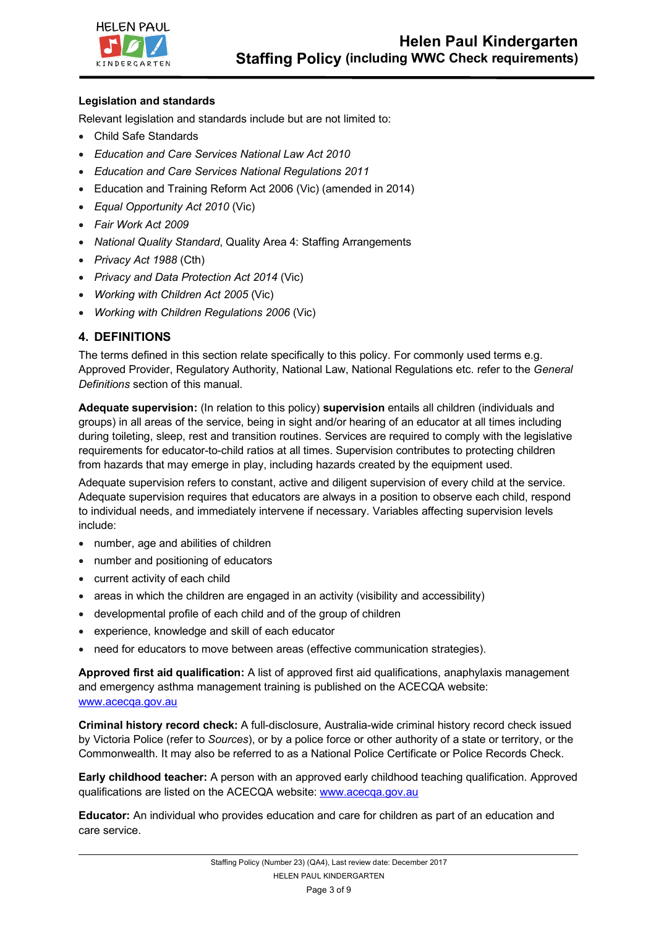

### **Legislation and standards**

Relevant legislation and standards include but are not limited to:

- Child Safe Standards
- *Education and Care Services National Law Act 2010*
- *Education and Care Services National Regulations 2011*
- Education and Training Reform Act 2006 (Vic) (amended in 2014)
- *Equal Opportunity Act 2010* (Vic)
- *Fair Work Act 2009*
- *National Quality Standard*, Quality Area 4: Staffing Arrangements
- *Privacy Act 1988* (Cth)
- *Privacy and Data Protection Act 2014* (Vic)
- *Working with Children Act 2005* (Vic)
- *Working with Children Regulations 2006* (Vic)

# **4. DEFINITIONS**

The terms defined in this section relate specifically to this policy. For commonly used terms e.g. Approved Provider, Regulatory Authority, National Law, National Regulations etc. refer to the *General Definitions* section of this manual.

**Adequate supervision:** (In relation to this policy) **supervision** entails all children (individuals and groups) in all areas of the service, being in sight and/or hearing of an educator at all times including during toileting, sleep, rest and transition routines. Services are required to comply with the legislative requirements for educator-to-child ratios at all times. Supervision contributes to protecting children from hazards that may emerge in play, including hazards created by the equipment used.

Adequate supervision refers to constant, active and diligent supervision of every child at the service. Adequate supervision requires that educators are always in a position to observe each child, respond to individual needs, and immediately intervene if necessary. Variables affecting supervision levels include:

- number, age and abilities of children
- number and positioning of educators
- current activity of each child
- areas in which the children are engaged in an activity (visibility and accessibility)
- developmental profile of each child and of the group of children
- experience, knowledge and skill of each educator
- need for educators to move between areas (effective communication strategies).

**Approved first aid qualification:** A list of approved first aid qualifications, anaphylaxis management and emergency asthma management training is published on the ACECQA website: www.acecqa.gov.au

**Criminal history record check:** A full-disclosure, Australia-wide criminal history record check issued by Victoria Police (refer to *Sources*), or by a police force or other authority of a state or territory, or the Commonwealth. It may also be referred to as a National Police Certificate or Police Records Check.

**Early childhood teacher:** A person with an approved early childhood teaching qualification. Approved qualifications are listed on the ACECQA website: www.acecqa.gov.au

**Educator:** An individual who provides education and care for children as part of an education and care service.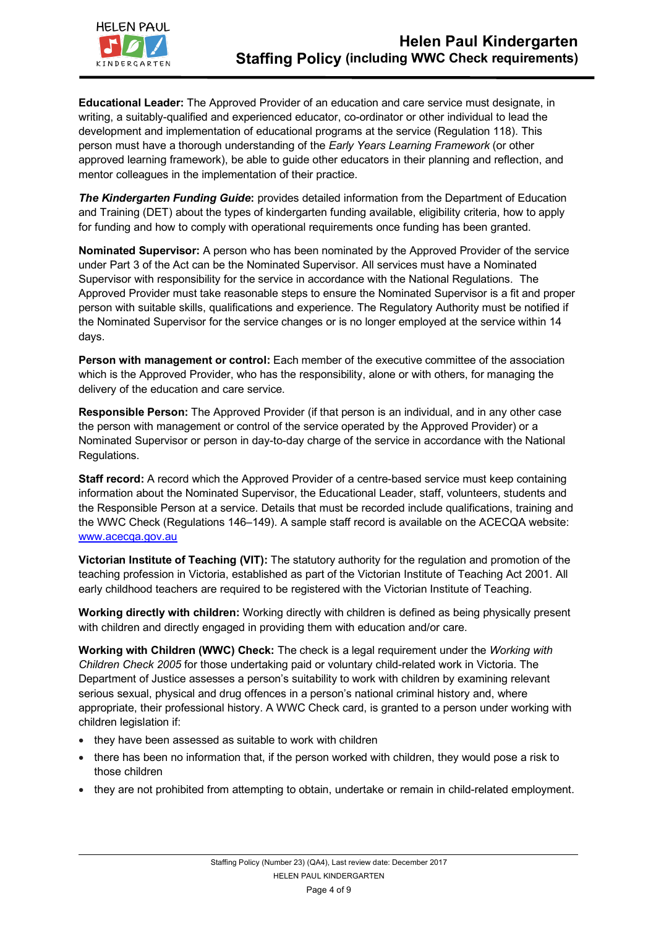

**Educational Leader:** The Approved Provider of an education and care service must designate, in writing, a suitably-qualified and experienced educator, co-ordinator or other individual to lead the development and implementation of educational programs at the service (Regulation 118). This person must have a thorough understanding of the *Early Years Learning Framework* (or other approved learning framework), be able to guide other educators in their planning and reflection, and mentor colleagues in the implementation of their practice.

*The Kindergarten Funding Guide***:** provides detailed information from the Department of Education and Training (DET) about the types of kindergarten funding available, eligibility criteria, how to apply for funding and how to comply with operational requirements once funding has been granted.

**Nominated Supervisor:** A person who has been nominated by the Approved Provider of the service under Part 3 of the Act can be the Nominated Supervisor. All services must have a Nominated Supervisor with responsibility for the service in accordance with the National Regulations. The Approved Provider must take reasonable steps to ensure the Nominated Supervisor is a fit and proper person with suitable skills, qualifications and experience. The Regulatory Authority must be notified if the Nominated Supervisor for the service changes or is no longer employed at the service within 14 days.

Person with management or control: Each member of the executive committee of the association which is the Approved Provider, who has the responsibility, alone or with others, for managing the delivery of the education and care service.

**Responsible Person:** The Approved Provider (if that person is an individual, and in any other case the person with management or control of the service operated by the Approved Provider) or a Nominated Supervisor or person in day-to-day charge of the service in accordance with the National Regulations.

**Staff record:** A record which the Approved Provider of a centre-based service must keep containing information about the Nominated Supervisor, the Educational Leader, staff, volunteers, students and the Responsible Person at a service. Details that must be recorded include qualifications, training and the WWC Check (Regulations 146–149). A sample staff record is available on the ACECQA website: www.acecqa.gov.au

**Victorian Institute of Teaching (VIT):** The statutory authority for the regulation and promotion of the teaching profession in Victoria, established as part of the Victorian Institute of Teaching Act 2001. All early childhood teachers are required to be registered with the Victorian Institute of Teaching.

**Working directly with children:** Working directly with children is defined as being physically present with children and directly engaged in providing them with education and/or care.

**Working with Children (WWC) Check:** The check is a legal requirement under the *Working with Children Check 2005* for those undertaking paid or voluntary child-related work in Victoria. The Department of Justice assesses a person's suitability to work with children by examining relevant serious sexual, physical and drug offences in a person's national criminal history and, where appropriate, their professional history. A WWC Check card, is granted to a person under working with children legislation if:

- they have been assessed as suitable to work with children
- there has been no information that, if the person worked with children, they would pose a risk to those children
- they are not prohibited from attempting to obtain, undertake or remain in child-related employment.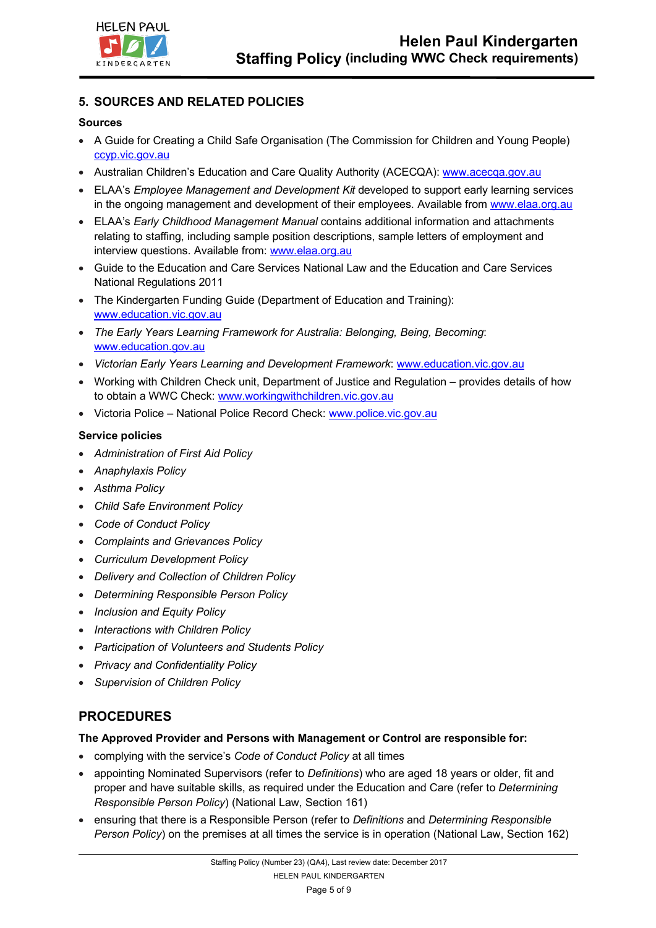

## **5. SOURCES AND RELATED POLICIES**

#### **Sources**

- A Guide for Creating a Child Safe Organisation (The Commission for Children and Young People) ccyp.vic.gov.au
- Australian Children's Education and Care Quality Authority (ACECQA): www.acecqa.gov.au
- ELAA's *Employee Management and Development Kit* developed to support early learning services in the ongoing management and development of their employees. Available from www.elaa.org.au
- ELAA's *Early Childhood Management Manual* contains additional information and attachments relating to staffing, including sample position descriptions, sample letters of employment and interview questions. Available from: www.elaa.org.au
- Guide to the Education and Care Services National Law and the Education and Care Services National Regulations 2011
- The Kindergarten Funding Guide (Department of Education and Training): www.education.vic.gov.au
- *The Early Years Learning Framework for Australia: Belonging, Being, Becoming*: www.education.gov.au
- *Victorian Early Years Learning and Development Framework*: www.education.vic.gov.au
- Working with Children Check unit, Department of Justice and Regulation provides details of how to obtain a WWC Check: www.workingwithchildren.vic.gov.au
- Victoria Police National Police Record Check: www.police.vic.gov.au

### **Service policies**

- *Administration of First Aid Policy*
- *Anaphylaxis Policy*
- *Asthma Policy*
- *Child Safe Environment Policy*
- *Code of Conduct Policy*
- *Complaints and Grievances Policy*
- *Curriculum Development Policy*
- *Delivery and Collection of Children Policy*
- *Determining Responsible Person Policy*
- *Inclusion and Equity Policy*
- *Interactions with Children Policy*
- *Participation of Volunteers and Students Policy*
- *Privacy and Confidentiality Policy*
- *Supervision of Children Policy*

# **PROCEDURES**

#### **The Approved Provider and Persons with Management or Control are responsible for:**

- complying with the service's *Code of Conduct Policy* at all times
- appointing Nominated Supervisors (refer to *Definitions*) who are aged 18 years or older, fit and proper and have suitable skills, as required under the Education and Care (refer to *Determining Responsible Person Policy*) (National Law, Section 161)
- ensuring that there is a Responsible Person (refer to *Definitions* and *Determining Responsible Person Policy*) on the premises at all times the service is in operation (National Law, Section 162)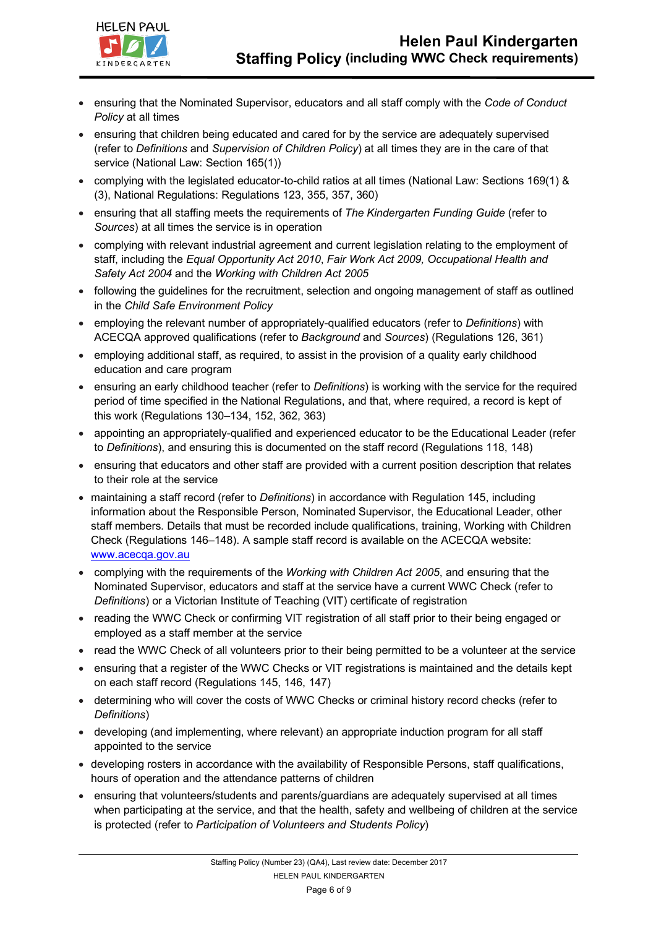

- ensuring that the Nominated Supervisor, educators and all staff comply with the *Code of Conduct Policy* at all times
- ensuring that children being educated and cared for by the service are adequately supervised (refer to *Definitions* and *Supervision of Children Policy*) at all times they are in the care of that service (National Law: Section 165(1))
- complying with the legislated educator-to-child ratios at all times (National Law: Sections 169(1) & (3), National Regulations: Regulations 123, 355, 357, 360)
- ensuring that all staffing meets the requirements of *The Kindergarten Funding Guide* (refer to *Sources*) at all times the service is in operation
- complying with relevant industrial agreement and current legislation relating to the employment of staff, including the *Equal Opportunity Act 2010*, *Fair Work Act 2009, Occupational Health and Safety Act 2004* and the *Working with Children Act 2005*
- following the guidelines for the recruitment, selection and ongoing management of staff as outlined in the *Child Safe Environment Policy*
- employing the relevant number of appropriately-qualified educators (refer to *Definitions*) with ACECQA approved qualifications (refer to *Background* and *Sources*) (Regulations 126, 361)
- employing additional staff, as required, to assist in the provision of a quality early childhood education and care program
- ensuring an early childhood teacher (refer to *Definitions*) is working with the service for the required period of time specified in the National Regulations, and that, where required, a record is kept of this work (Regulations 130–134, 152, 362, 363)
- appointing an appropriately-qualified and experienced educator to be the Educational Leader (refer to *Definitions*), and ensuring this is documented on the staff record (Regulations 118, 148)
- ensuring that educators and other staff are provided with a current position description that relates to their role at the service
- maintaining a staff record (refer to *Definitions*) in accordance with Regulation 145, including information about the Responsible Person, Nominated Supervisor, the Educational Leader, other staff members. Details that must be recorded include qualifications, training, Working with Children Check (Regulations 146–148). A sample staff record is available on the ACECQA website: www.acecqa.gov.au
- complying with the requirements of the *Working with Children Act 2005*, and ensuring that the Nominated Supervisor, educators and staff at the service have a current WWC Check (refer to *Definitions*) or a Victorian Institute of Teaching (VIT) certificate of registration
- reading the WWC Check or confirming VIT registration of all staff prior to their being engaged or employed as a staff member at the service
- read the WWC Check of all volunteers prior to their being permitted to be a volunteer at the service
- ensuring that a register of the WWC Checks or VIT registrations is maintained and the details kept on each staff record (Regulations 145, 146, 147)
- determining who will cover the costs of WWC Checks or criminal history record checks (refer to *Definitions*)
- developing (and implementing, where relevant) an appropriate induction program for all staff appointed to the service
- developing rosters in accordance with the availability of Responsible Persons, staff qualifications, hours of operation and the attendance patterns of children
- ensuring that volunteers/students and parents/guardians are adequately supervised at all times when participating at the service, and that the health, safety and wellbeing of children at the service is protected (refer to *Participation of Volunteers and Students Policy*)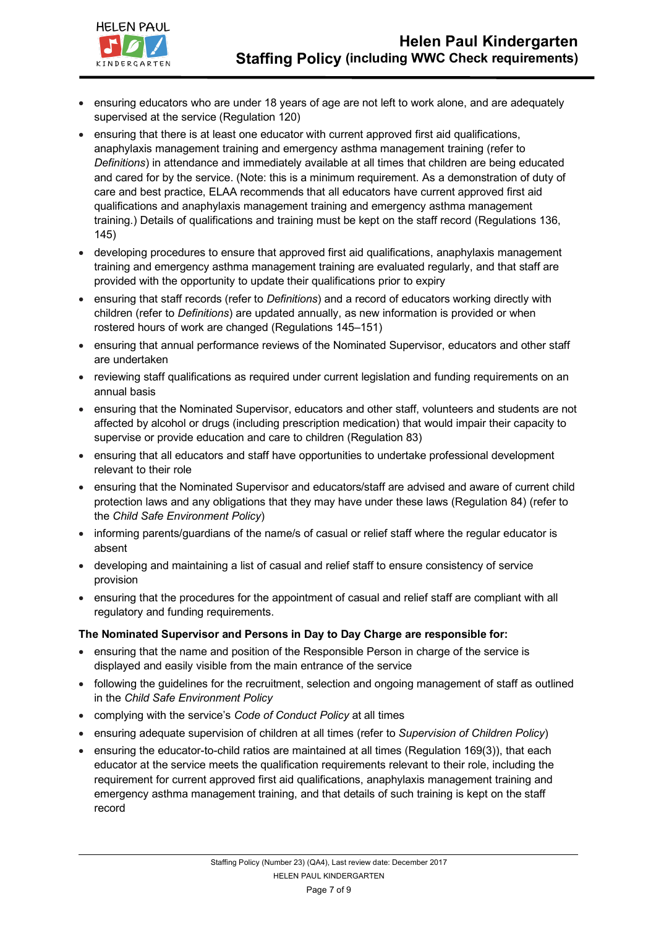

- ensuring educators who are under 18 years of age are not left to work alone, and are adequately supervised at the service (Regulation 120)
- ensuring that there is at least one educator with current approved first aid qualifications, anaphylaxis management training and emergency asthma management training (refer to *Definitions*) in attendance and immediately available at all times that children are being educated and cared for by the service. (Note: this is a minimum requirement. As a demonstration of duty of care and best practice, ELAA recommends that all educators have current approved first aid qualifications and anaphylaxis management training and emergency asthma management training.) Details of qualifications and training must be kept on the staff record (Regulations 136, 145)
- developing procedures to ensure that approved first aid qualifications, anaphylaxis management training and emergency asthma management training are evaluated regularly, and that staff are provided with the opportunity to update their qualifications prior to expiry
- ensuring that staff records (refer to *Definitions*) and a record of educators working directly with children (refer to *Definitions*) are updated annually, as new information is provided or when rostered hours of work are changed (Regulations 145–151)
- ensuring that annual performance reviews of the Nominated Supervisor, educators and other staff are undertaken
- reviewing staff qualifications as required under current legislation and funding requirements on an annual basis
- ensuring that the Nominated Supervisor, educators and other staff, volunteers and students are not affected by alcohol or drugs (including prescription medication) that would impair their capacity to supervise or provide education and care to children (Regulation 83)
- ensuring that all educators and staff have opportunities to undertake professional development relevant to their role
- ensuring that the Nominated Supervisor and educators/staff are advised and aware of current child protection laws and any obligations that they may have under these laws (Regulation 84) (refer to the *Child Safe Environment Policy*)
- informing parents/guardians of the name/s of casual or relief staff where the regular educator is absent
- developing and maintaining a list of casual and relief staff to ensure consistency of service provision
- ensuring that the procedures for the appointment of casual and relief staff are compliant with all regulatory and funding requirements.

## **The Nominated Supervisor and Persons in Day to Day Charge are responsible for:**

- ensuring that the name and position of the Responsible Person in charge of the service is displayed and easily visible from the main entrance of the service
- following the guidelines for the recruitment, selection and ongoing management of staff as outlined in the *Child Safe Environment Policy*
- complying with the service's *Code of Conduct Policy* at all times
- ensuring adequate supervision of children at all times (refer to *Supervision of Children Policy*)
- ensuring the educator-to-child ratios are maintained at all times (Regulation 169(3)), that each educator at the service meets the qualification requirements relevant to their role, including the requirement for current approved first aid qualifications, anaphylaxis management training and emergency asthma management training, and that details of such training is kept on the staff record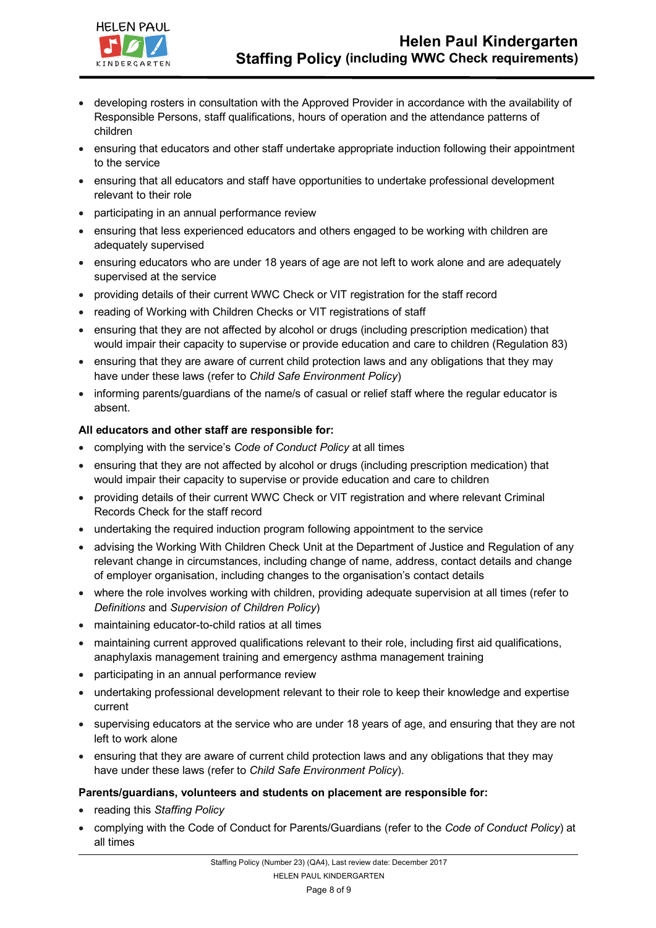

- developing rosters in consultation with the Approved Provider in accordance with the availability of Responsible Persons, staff qualifications, hours of operation and the attendance patterns of children
- ensuring that educators and other staff undertake appropriate induction following their appointment to the service
- ensuring that all educators and staff have opportunities to undertake professional development relevant to their role
- participating in an annual performance review
- ensuring that less experienced educators and others engaged to be working with children are adequately supervised
- ensuring educators who are under 18 years of age are not left to work alone and are adequately supervised at the service
- providing details of their current WWC Check or VIT registration for the staff record
- reading of Working with Children Checks or VIT registrations of staff
- ensuring that they are not affected by alcohol or drugs (including prescription medication) that would impair their capacity to supervise or provide education and care to children (Regulation 83)
- ensuring that they are aware of current child protection laws and any obligations that they may have under these laws (refer to *Child Safe Environment Policy*)
- informing parents/guardians of the name/s of casual or relief staff where the regular educator is absent.

### **All educators and other staff are responsible for:**

- complying with the service's *Code of Conduct Policy* at all times
- ensuring that they are not affected by alcohol or drugs (including prescription medication) that would impair their capacity to supervise or provide education and care to children
- providing details of their current WWC Check or VIT registration and where relevant Criminal Records Check for the staff record
- undertaking the required induction program following appointment to the service
- advising the Working With Children Check Unit at the Department of Justice and Regulation of any relevant change in circumstances, including change of name, address, contact details and change of employer organisation, including changes to the organisation's contact details
- where the role involves working with children, providing adequate supervision at all times (refer to *Definitions* and *Supervision of Children Policy*)
- maintaining educator-to-child ratios at all times
- maintaining current approved qualifications relevant to their role, including first aid qualifications, anaphylaxis management training and emergency asthma management training
- participating in an annual performance review
- undertaking professional development relevant to their role to keep their knowledge and expertise current
- supervising educators at the service who are under 18 years of age, and ensuring that they are not left to work alone
- ensuring that they are aware of current child protection laws and any obligations that they may have under these laws (refer to *Child Safe Environment Policy*).

#### **Parents/guardians, volunteers and students on placement are responsible for:**

- reading this *Staffing Policy*
- complying with the Code of Conduct for Parents/Guardians (refer to the *Code of Conduct Policy*) at all times